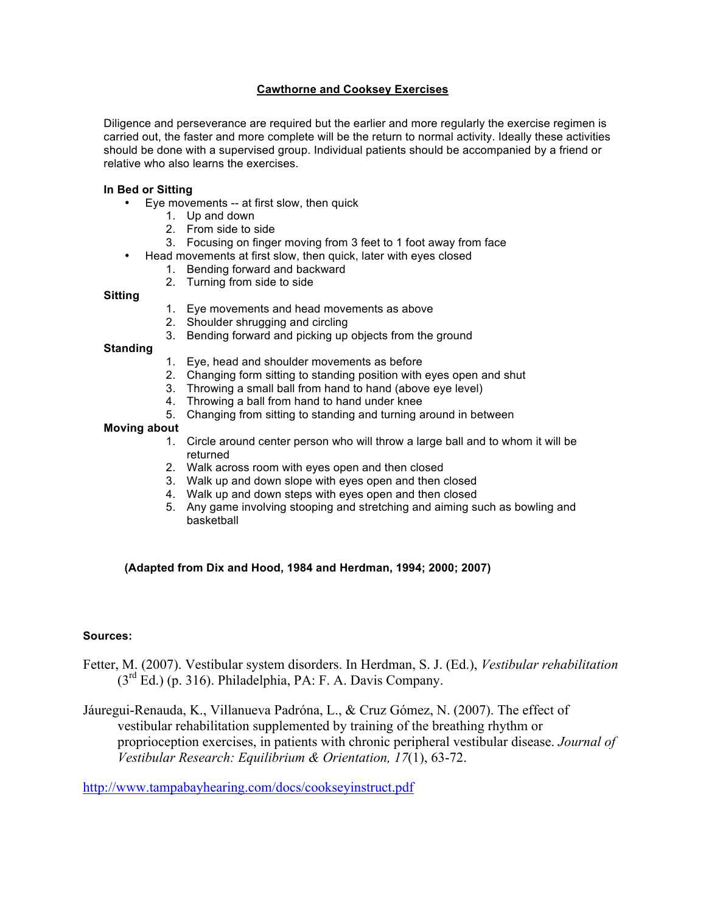# **Cawthorne and Cooksey Exercises**

Diligence and perseverance are required but the earlier and more regularly the exercise regimen is carried out, the faster and more complete will be the return to normal activity. Ideally these activities should be done with a supervised group. Individual patients should be accompanied by a friend or relative who also learns the exercises.

#### **In Bed or Sitting**

- Eye movements -- at first slow, then quick
	- 1. Up and down
	- 2. From side to side
	- 3. Focusing on finger moving from 3 feet to 1 foot away from face
- Head movements at first slow, then quick, later with eyes closed
	- 1. Bending forward and backward
	- 2. Turning from side to side

#### **Sitting**

- 1. Eye movements and head movements as above
- 2. Shoulder shrugging and circling
- 3. Bending forward and picking up objects from the ground

### **Standing**

- 1. Eye, head and shoulder movements as before
- 2. Changing form sitting to standing position with eyes open and shut
- 3. Throwing a small ball from hand to hand (above eye level)
- 4. Throwing a ball from hand to hand under knee
- 5. Changing from sitting to standing and turning around in between

### **Moving about**

- 1. Circle around center person who will throw a large ball and to whom it will be returned
- 2. Walk across room with eyes open and then closed
- 3. Walk up and down slope with eyes open and then closed
- 4. Walk up and down steps with eyes open and then closed
- 5. Any game involving stooping and stretching and aiming such as bowling and basketball

## **(Adapted from Dix and Hood, 1984 and Herdman, 1994; 2000; 2007)**

## **Sources:**

- Fetter, M. (2007). Vestibular system disorders. In Herdman, S. J. (Ed.), *Vestibular rehabilitation*  $(3<sup>rd</sup> Ed.)$  (p. 316). Philadelphia, PA: F. A. Davis Company.
- Jáuregui-Renauda, K., Villanueva Padróna, L., & Cruz Gómez, N. (2007). The effect of vestibular rehabilitation supplemented by training of the breathing rhythm or proprioception exercises, in patients with chronic peripheral vestibular disease. *Journal of Vestibular Research: Equilibrium & Orientation, 17*(1), 63-72.

http://www.tampabayhearing.com/docs/cookseyinstruct.pdf